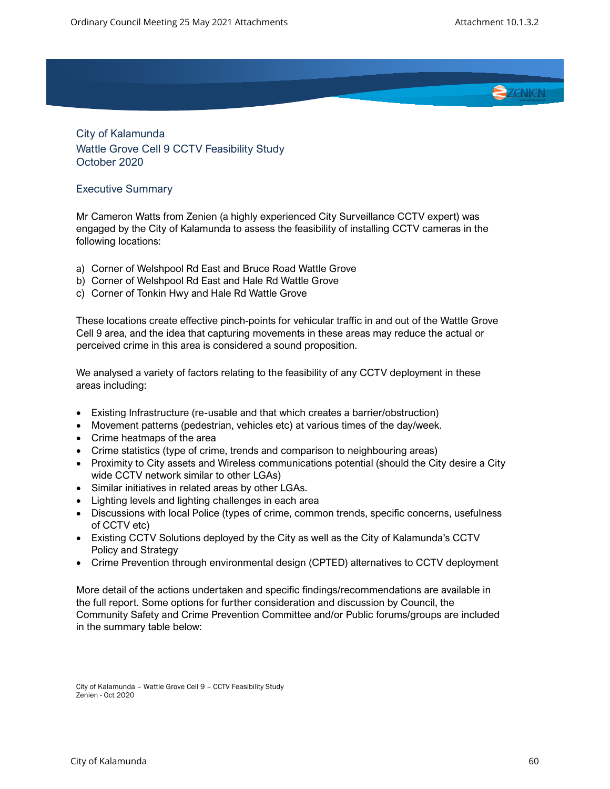

City of Kalamunda Wattle Grove Cell 9 CCTV Feasibility Study October 2020

## Executive Summary

Mr Cameron Watts from Zenien (a highly experienced City Surveillance CCTV expert) was engaged by the City of Kalamunda to assess the feasibility of installing CCTV cameras in the following locations:

- a) Corner of Welshpool Rd East and Bruce Road Wattle Grove
- b) Corner of Welshpool Rd East and Hale Rd Wattle Grove
- c) Corner of Tonkin Hwy and Hale Rd Wattle Grove

These locations create effective pinch-points for vehicular traffic in and out of the Wattle Grove Cell 9 area, and the idea that capturing movements in these areas may reduce the actual or perceived crime in this area is considered a sound proposition.

We analysed a variety of factors relating to the feasibility of any CCTV deployment in these areas including:

- Existing Infrastructure (re-usable and that which creates a barrier/obstruction)
- Movement patterns (pedestrian, vehicles etc) at various times of the day/week.
- Crime heatmaps of the area
- Crime statistics (type of crime, trends and comparison to neighbouring areas)
- Proximity to City assets and Wireless communications potential (should the City desire a City wide CCTV network similar to other LGAs)
- Similar initiatives in related areas by other LGAs.
- Lighting levels and lighting challenges in each area
- Discussions with local Police (types of crime, common trends, specific concerns, usefulness of CCTV etc)
- Existing CCTV Solutions deployed by the City as well as the City of Kalamunda's CCTV Policy and Strategy
- Crime Prevention through environmental design (CPTED) alternatives to CCTV deployment

More detail of the actions undertaken and specific findings/recommendations are available in the full report. Some options for further consideration and discussion by Council, the Community Safety and Crime Prevention Committee and/or Public forums/groups are included in the summary table below:

City of Kalamunda – Wattle Grove Cell 9 – CCTV Feasibility Study Zenien - Oct 2020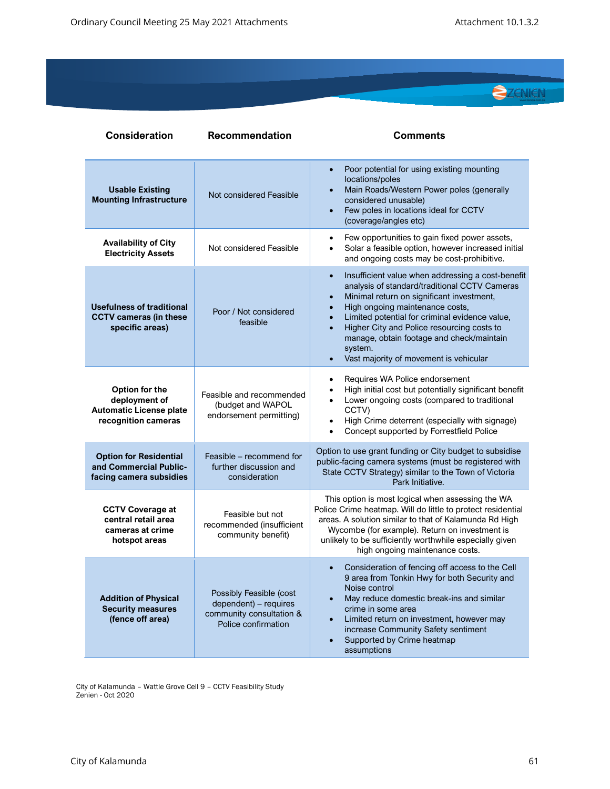

| <b>Consideration</b>                                                                     | <b>Recommendation</b>                                                                               | <b>Comments</b>                                                                                                                                                                                                                                                                                                                                                                                                                                       |
|------------------------------------------------------------------------------------------|-----------------------------------------------------------------------------------------------------|-------------------------------------------------------------------------------------------------------------------------------------------------------------------------------------------------------------------------------------------------------------------------------------------------------------------------------------------------------------------------------------------------------------------------------------------------------|
| <b>Usable Existing</b><br><b>Mounting Infrastructure</b>                                 | Not considered Feasible                                                                             | Poor potential for using existing mounting<br>$\bullet$<br>locations/poles<br>Main Roads/Western Power poles (generally<br>$\bullet$<br>considered unusable)<br>Few poles in locations ideal for CCTV<br>$\bullet$<br>(coverage/angles etc)                                                                                                                                                                                                           |
| <b>Availability of City</b><br><b>Electricity Assets</b>                                 | Not considered Feasible                                                                             | Few opportunities to gain fixed power assets,<br>$\bullet$<br>Solar a feasible option, however increased initial<br>$\bullet$<br>and ongoing costs may be cost-prohibitive.                                                                                                                                                                                                                                                                           |
| <b>Usefulness of traditional</b><br><b>CCTV cameras (in these</b><br>specific areas)     | Poor / Not considered<br>feasible                                                                   | Insufficient value when addressing a cost-benefit<br>$\bullet$<br>analysis of standard/traditional CCTV Cameras<br>Minimal return on significant investment,<br>$\bullet$<br>High ongoing maintenance costs,<br>$\bullet$<br>Limited potential for criminal evidence value,<br>Higher City and Police resourcing costs to<br>$\bullet$<br>manage, obtain footage and check/maintain<br>system.<br>Vast majority of movement is vehicular<br>$\bullet$ |
| Option for the<br>deployment of<br><b>Automatic License plate</b><br>recognition cameras | Feasible and recommended<br>(budget and WAPOL<br>endorsement permitting)                            | Requires WA Police endorsement<br>$\bullet$<br>High initial cost but potentially significant benefit<br>$\bullet$<br>Lower ongoing costs (compared to traditional<br>CCTV)<br>High Crime deterrent (especially with signage)<br>$\bullet$<br>Concept supported by Forrestfield Police<br>$\bullet$                                                                                                                                                    |
| <b>Option for Residential</b><br>and Commercial Public-<br>facing camera subsidies       | Feasible – recommend for<br>further discussion and<br>consideration                                 | Option to use grant funding or City budget to subsidise<br>public-facing camera systems (must be registered with<br>State CCTV Strategy) similar to the Town of Victoria<br>Park Initiative.                                                                                                                                                                                                                                                          |
| <b>CCTV Coverage at</b><br>central retail area<br>cameras at crime<br>hotspot areas      | Feasible but not<br>recommended (insufficient<br>community benefit)                                 | This option is most logical when assessing the WA<br>Police Crime heatmap. Will do little to protect residential<br>areas. A solution similar to that of Kalamunda Rd High<br>Wycombe (for example). Return on investment is<br>unlikely to be sufficiently worthwhile especially given<br>high ongoing maintenance costs.                                                                                                                            |
| <b>Addition of Physical</b><br><b>Security measures</b><br>(fence off area)              | Possibly Feasible (cost<br>dependent) - requires<br>community consultation &<br>Police confirmation | Consideration of fencing off access to the Cell<br>9 area from Tonkin Hwy for both Security and<br>Noise control<br>May reduce domestic break-ins and similar<br>$\bullet$<br>crime in some area<br>Limited return on investment, however may<br>$\bullet$<br>increase Community Safety sentiment<br>Supported by Crime heatmap<br>$\bullet$<br>assumptions                                                                                           |

City of Kalamunda – Wattle Grove Cell 9 – CCTV Feasibility Study Zenien - Oct 2020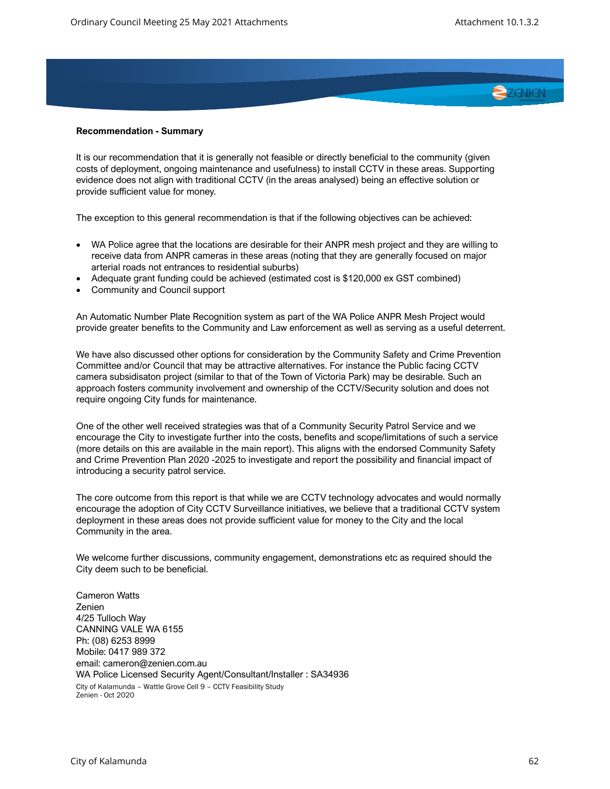

## **Recommendation - Summary**

It is our recommendation that it is generally not feasible or directly beneficial to the community (given costs of deployment, ongoing maintenance and usefulness) to install CCTV in these areas. Supporting evidence does not align with traditional CCTV (in the areas analysed) being an effective solution or provide sufficient value for money.

The exception to this general recommendation is that if the following objectives can be achieved:

- WA Police agree that the locations are desirable for their ANPR mesh project and they are willing to receive data from ANPR cameras in these areas (noting that they are generally focused on major arterial roads not entrances to residential suburbs)
- Adequate grant funding could be achieved (estimated cost is \$120,000 ex GST combined)
- Community and Council support

An Automatic Number Plate Recognition system as part of the WA Police ANPR Mesh Project would provide greater benefits to the Community and Law enforcement as well as serving as a useful deterrent.

We have also discussed other options for consideration by the Community Safety and Crime Prevention Committee and/or Council that may be attractive alternatives. For instance the Public facing CCTV camera subsidisaton project (similar to that of the Town of Victoria Park) may be desirable. Such an approach fosters community involvement and ownership of the CCTV/Security solution and does not require ongoing City funds for maintenance.

One of the other well received strategies was that of a Community Security Patrol Service and we encourage the City to investigate further into the costs, benefits and scope/limitations of such a service (more details on this are available in the main report). This aligns with the endorsed Community Safety and Crime Prevention Plan 2020 -2025 to investigate and report the possibility and financial impact of introducing a security patrol service.

The core outcome from this report is that while we are CCTV technology advocates and would normally encourage the adoption of City CCTV Surveillance initiatives, we believe that a traditional CCTV system deployment in these areas does not provide sufficient value for money to the City and the local Community in the area.

We welcome further discussions, community engagement, demonstrations etc as required should the City deem such to be beneficial.

City of Kalamunda – Wattle Grove Cell 9 – CCTV Feasibility Study Zenien - Oct 2020 Cameron Watts Zenien 4/25 Tulloch Way CANNING VALE WA 6155 Ph: (08) 6253 8999 Mobile: 0417 989 372 email: cameron@zenien.com.au WA Police Licensed Security Agent/Consultant/Installer : SA34936